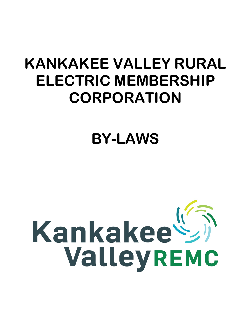# **KANKAKEE VALLEY RURAL ELECTRIC MEMBERSHIP CORPORATION**

# **BY-LAWS**

# Kankakee ValleyREMC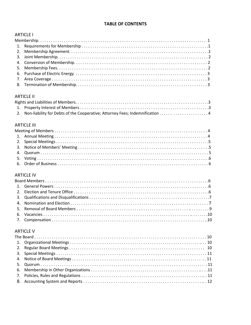# **TABLE OF CONTENTS**

# **ARTICLE I**

#### **ARTICLE II**

#### **ARTICLE III**

#### **ARTICLE IV**

# **ARTICLE V**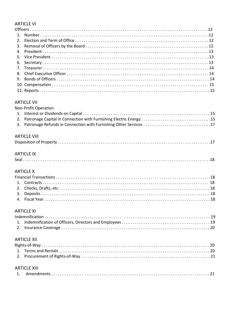# **ARTICLE VI**

#### **ARTICLE VII**

| Non-Profit Operation |  |
|----------------------|--|
|                      |  |
|                      |  |
|                      |  |

# **ARTICLE VIII**

# **ARTICLE IX**

# **ARTICLE X**

# **ARTICLE XI**

# **ARTICLE XII**

#### **ARTICLE XIII**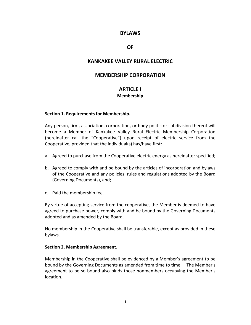# **BYLAWS**

# **OF**

# **KANKAKEE VALLEY RURAL ELECTRIC**

# **MEMBERSHIP CORPORATION**

### **ARTICLE I Membership**

#### **Section 1. Requirements for Membership.**

Any person, firm, association, corporation, or body politic or subdivision thereof will become a Member of Kankakee Valley Rural Electric Membership Corporation (hereinafter call the "Cooperative") upon receipt of electric service from the Cooperative, provided that the individual(s) has/have first:

- a. Agreed to purchase from the Cooperative electric energy as hereinafter specified;
- b. Agreed to comply with and be bound by the articles of incorporation and bylaws of the Cooperative and any policies, rules and regulations adopted by the Board (Governing Documents), and;
- c. Paid the membership fee.

By virtue of accepting service from the cooperative, the Member is deemed to have agreed to purchase power, comply with and be bound by the Governing Documents adopted and as amended by the Board.

No membership in the Cooperative shall be transferable, except as provided in these bylaws.

#### **Section 2. Membership Agreement.**

Membership in the Cooperative shall be evidenced by a Member's agreement to be bound by the Governing Documents as amended from time to time. The Member's agreement to be so bound also binds those nonmembers occupying the Member's location.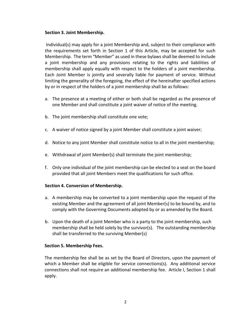#### **Section 3. Joint Membership.**

Individual(s) may apply for a joint Membership and, subject to their compliance with the requirements set forth in Section 1 of this Article, may be accepted for such Membership. The term "Member" as used in these bylaws shall be deemed to include a joint membership and any provisions relating to the rights and liabilities of membership shall apply equally with respect to the holders of a joint membership. Each Joint Member is jointly and severally liable for payment of service. Without limiting the generality of the foregoing, the effect of the hereinafter specified actions by or in respect of the holders of a joint membership shall be as follows:

- a. The presence at a meeting of either or both shall be regarded as the presence of one Member and shall constitute a joint waiver of notice of the meeting.
- b. The joint membership shall constitute one vote;
- c. A waiver of notice signed by a joint Member shall constitute a joint waiver;
- d. Notice to any joint Member shall constitute notice to all in the joint membership;
- e. Withdrawal of joint Member(s) shall terminate the joint membership;
- f. Only one individual of the joint membership can be elected to a seat on the board provided that all joint Members meet the qualifications for such office.

#### **Section 4. Conversion of Membership.**

- a. A membership may be converted to a joint membership upon the request of the existing Member and the agreement of all joint Member(s) to be bound by, and to comply with the Governing Documents adopted by or as amended by the Board.
- b. Upon the death of a joint Member who is a party to the joint membership, such membership shall be held solely by the survivor(s). The outstanding membership shall be transferred to the surviving Member(s)

#### **Section 5. Membership Fees.**

The membership fee shall be as set by the Board of Directors, upon the payment of which a Member shall be eligible for service connections(s). Any additional service connections shall not require an additional membership fee. Article I, Section 1 shall apply.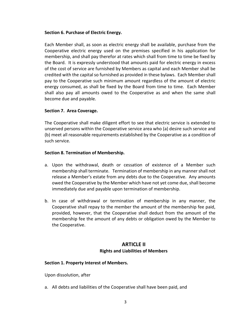#### **Section 6. Purchase of Electric Energy.**

Each Member shall, as soon as electric energy shall be available, purchase from the Cooperative electric energy used on the premises specified in his application for membership, and shall pay therefor at rates which shall from time to time be fixed by the Board. It is expressly understood that amounts paid for electric energy in excess of the cost of service are furnished by Members as capital and each Member shall be credited with the capital so furnished as provided in these bylaws. Each Member shall pay to the Cooperative such minimum amount regardless of the amount of electric energy consumed, as shall be fixed by the Board from time to time. Each Member shall also pay all amounts owed to the Cooperative as and when the same shall become due and payable.

#### **Section 7. Area Coverage.**

The Cooperative shall make diligent effort to see that electric service is extended to unserved persons within the Cooperative service area who (a) desire such service and (b) meet all reasonable requirements established by the Cooperative as a condition of such service.

#### **Section 8. Termination of Membership.**

- a. Upon the withdrawal, death or cessation of existence of a Member such membership shall terminate. Termination of membership in any manner shall not release a Member's estate from any debts due to the Cooperative. Any amounts owed the Cooperative by the Member which have not yet come due, shall become immediately due and payable upon termination of membership.
- b. In case of withdrawal or termination of membership in any manner, the Cooperative shall repay to the member the amount of the membership fee paid, provided, however, that the Cooperative shall deduct from the amount of the membership fee the amount of any debts or obligation owed by the Member to the Cooperative.

# **ARTICLE II Rights and Liabilities of Members**

#### **Section 1. Property Interest of Members.**

Upon dissolution, after

a. All debts and liabilities of the Cooperative shall have been paid, and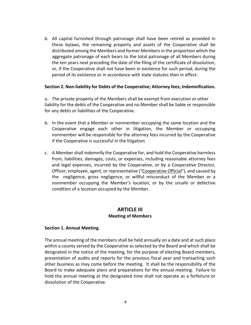b. All capital furnished through patronage shall have been retired as provided in these bylaws, the remaining property and assets of the Cooperative shall be distributed among the Members and former Members in the proportion which the aggregate patronage of each bears to the total patronage of all Members during the ten years next preceding the date of the filing of the certificate of dissolution, or, if the Cooperative shall not have been in existence for such period, during the period of its existence or in accordance with state statutes then in effect.

#### **Section 2. Non-liability for Debts of the Cooperative; Attorney fees; Indemnification.**

a. The private property of the Members shall be exempt from execution or other liability for the debts of the Cooperative and no Member shall be liable or responsible for any debts or liabilities of the Cooperative.

- b. In the event that a Member or nonmember occupying the same location and the Cooperative engage each other in litigation, the Member or occupying nonmember will be responsible for the attorney fees incurred by the Cooperative if the Cooperative is successful in the litigation.
- c. A Member shall indemnify the Cooperative for, and hold the Cooperative harmless from, liabilities, damages, costs, or expenses, including reasonable attorney fees and legal expenses, incurred by the Cooperative, or by a Cooperative Director, Officer, employee, agent, or representative ("Cooperative Official"), and caused by the negligence, gross negligence, or willful misconduct of the Member or a nonmember occupying the Member's location, or by the unsafe or defective condition of a location occupied by the Member.

# **ARTICLE III Meeting of Members**

#### **Section 1. Annual Meeting.**

The annual meeting of the members shall be held annually on a date and at such place within a county served by the Cooperative as selected by the Board and which shall be designated in the notice of the meeting, for the purpose of electing Board members, presentation of audits and reports for the previous fiscal year and transacting such other business as may come before the meeting. It shall be the responsibility of the Board to make adequate plans and preparations for the annual meeting. Failure to hold the annual meeting at the designated time shall not operate as a forfeiture or dissolution of the Cooperative.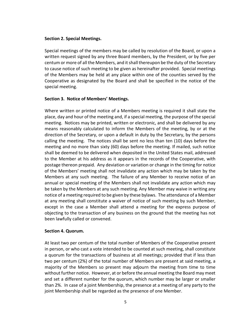#### **Section 2. Special Meetings.**

Special meetings of the members may be called by resolution of the Board, or upon a written request signed by any three Board members, by the President, or by five per centum or more of all the Members, and it shall thereupon be the duty of the Secretary to cause notice of such meeting to be given as hereinafter provided. Special meetings of the Members may be held at any place within one of the counties served by the Cooperative as designated by the Board and shall be specified in the notice of the special meeting.

#### **Section 3. Notice of Members' Meetings.**

Where written or printed notice of a Members meeting is required it shall state the place, day and hour of the meeting and, if a special meeting, the purpose of the special meeting. Notices may be printed, written or electronic, and shall be delivered by any means reasonably calculated to inform the Members of the meeting, by or at the direction of the Secretary, or upon a default in duty by the Secretary, by the persons calling the meeting. The notices shall be sent no less than ten (10) days before the meeting and no more than sixty (60) days before the meeting. If mailed, such notice shall be deemed to be delivered when deposited in the United States mail, addressed to the Member at his address as it appears in the records of the Cooperative, with postage thereon prepaid. Any deviation or variation or change in the timing for notice of the Members' meeting shall not invalidate any action which may be taken by the Members at any such meeting. The failure of any Member to receive notice of an annual or special meeting of the Members shall not invalidate any action which may be taken by the Members at any such meeting. Any Member may waive in writing any notice of a meeting required to be given by these bylaws. The attendance of a Member at any meeting shall constitute a waiver of notice of such meeting by such Member, except in the case a Member shall attend a meeting for the express purpose of objecting to the transaction of any business on the ground that the meeting has not been lawfully called or convened.

#### **Section 4. Quorum.**

At least two per centum of the total number of Members of the Cooperative present in person, or who cast a vote intended to be counted at such meeting, shall constitute a quorum for the transactions of business at all meetings; provided that if less than two per centum (2%) of the total number of Members are present at said meeting, a majority of the Members so present may adjourn the meeting from time to time without further notice. However, at or before the annual meeting the Board may meet and set a different number for the quorum, which number may be larger or smaller than 2%. In case of a joint Membership, the presence at a meeting of any party to the joint Membership shall be regarded as the presence of one Member.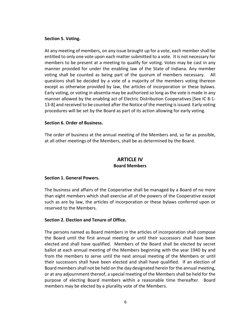#### **Section 5. Voting.**

At any meeting of members, on any issue brought up for a vote, each member shall be entitled to only one vote upon each matter submitted to a vote. It is not necessary for members to be present at a meeting to qualify for voting. Votes may be cast in any manner provided for under the enabling law of the State of Indiana. Any member voting shall be counted as being part of the quorum of members necessary. All questions shall be decided by a vote of a majority of the members voting thereon except as otherwise provided by law, the articles of incorporation or these bylaws. Early voting, or voting in absentia may be authorized so long as the vote is made in any manner allowed by the enabling act of Electric Distribution Cooperatives [See IC 8-1- 13-8] and received to be counted after the Notice of the meeting is issued. Early voting procedures will be set by the Board as part of its action allowing for early voting.

#### **Section 6. Order of Business.**

The order of business at the annual meeting of the Members and, so far as possible, at all other meetings of the Members, shall be as determined by the Board.

# **ARTICLE IV Board Members**

#### **Section 1. General Powers.**

The business and affairs of the Cooperative shall be managed by a Board of no more than eight members which shall exercise all of the powers of the Cooperative except such as are by law, the articles of incorporation or these bylaws conferred upon or reserved to the Members.

#### **Section 2. Election and Tenure of Office.**

The persons named as Board members in the articles of incorporation shall compose the Board until the first annual meeting or until their successors shall have been elected and shall have qualified. Members of the Board shall be elected by secret ballot at each annual meeting of the Members beginning with the year 1940 by and from the members to serve until the next annual meeting of the Members or until their successors shall have been elected and shall have qualified. If an election of Board members shall not be held on the day designated herein for the annual meeting, or at any adjournment thereof, a special meeting of the Members shall be held for the purpose of electing Board members within a reasonable time thereafter. Board members may be elected by a plurality vote of the Members.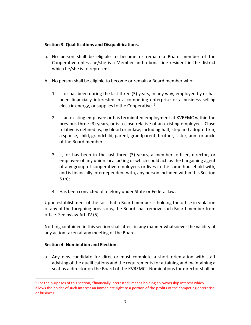#### **Section 3. Qualifications and Disqualifications.**

- a. No person shall be eligible to become or remain a Board member of the Cooperative unless he/she is a Member and a bona fide resident in the district which he/she is to represent.
- b. No person shall be eligible to become or remain a Board member who:
	- 1. Is or has been during the last three (3) years, in any way, employed by or has been financially interested in a competing enterprise or a business selling electric energy, or supplies to the Cooperative.  $1$
	- 2. Is an existing employee or has terminated employment at KVREMC within the previous three (3) years, or is a close relative of an existing employee. Close relative is defined as, by blood or in-law, including half, step and adopted kin, a spouse, child, grandchild, parent, grandparent, brother, sister, aunt or uncle of the Board member.
	- 3. Is*,* or has been in the last three (3) years, a member, officer, director, or employee of any union local acting or which could act, as the bargaining agent of any group of cooperative employees or lives in the same household with, and is financially interdependent with, any person included within this Section 3 (b);
	- 4. Has been convicted of a felony under State or Federal law.

Upon establishment of the fact that a Board member is holding the office in violation of any of the foregoing provisions, the Board shall remove such Board member from office. See bylaw Art. IV (5).

Nothing contained in this section shall affect in any manner whatsoever the validity of any action taken at any meeting of the Board.

# **Section 4. Nomination and Election.**

a. Any new candidate for director must complete a short orientation with staff advising of the qualifications and the requirements for attaining and maintaining a seat as a director on the Board of the KVREMC. Nominations for director shall be

<span id="page-9-0"></span> $<sup>1</sup>$  For the purposes of this section, "financially interested" means holding an ownership interest which</sup> allows the holder of such interest an immediate right to a portion of the profits of the competing enterprise or business.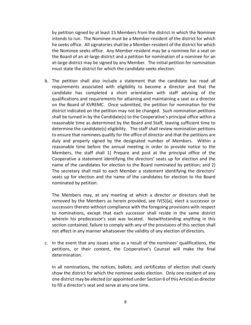by petition signed by at least 15 Members from the district in which the Nominee intends to run. The Nominee must be a Member-resident of the district for which he seeks office. All signatories shall be a Member-resident of the district for which the Nominee seeks office. Any Member-resident may be a nominee for a seat on the Board of an at-large district and a petition for nomination of a nominee for an at-large district may be signed by any Member. The initial petition for nomination must state the district for which the candidate seeks election.

b. The petition shall also include a statement that the candidate has read all requirements associated with eligibility to become a director and that the candidate has completed a short orientation with staff advising of the qualifications and requirements for attaining and maintaining a seat as a director on the Board of KVREMC. Once submitted, the petition for nomination for the district indicated on the petition may not be changed. Such nomination petitions shall be turned in by the Candidate(s) to the Cooperative's principal office within a reasonable time as determined by the Board and Staff, leaving sufficient time to determine the candidate(s) eligibility. The staff shall review nomination petitions to ensure that nominees qualify for the office of director and that the petitions are duly and properly signed by the designated number of Members. Within a reasonable time before the annual meeting in order to provide notice to the Members, the staff shall 1) Prepare and post at the principal office of the Cooperative a statement identifying the directors' seats up for election and the name of the candidates for election to the Board nominated by petition; and 2) The secretary shall mail to each Member a statement identifying the directors' seats up for election and the name of the candidates for election to the Board nominated by petition.

The Members may, at any meeting at which a director or directors shall be removed by the Members as herein provided, see IV(5)(a), elect a successor or successors thereto without compliance with the foregoing provisions with respect to nominations, except that each successor shall reside in the same district wherein his predecessor's seat was located. Notwithstanding anything in this section contained, failure to comply with any of the provisions of this section shall not affect in any manner whatsoever the validity of any election of directors.

c. In the event that any issues arise as a result of the nominees' qualifications, the petitions, or their content, the Cooperative's Counsel will make the final determination.

In all nominations, the notices, ballots, and certificates of election shall clearly show the district for which the nominee seeks election. Only one resident of any one district may be elected (or appointed under Section 6 of this Article) as director to fill a director's seat and serve at any one time.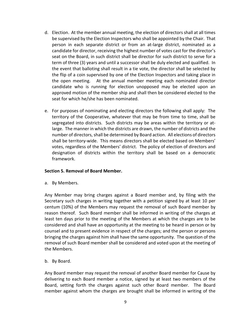- d. Election. At the member annual meeting, the election of directors shall at all times be supervised by the Election Inspectors who shall be appointed by the Chair. That person in each separate district or from an at-large district, nominated as a candidate for director, receiving the highest number of votes cast for the director's seat on the Board, in such district shall be director for such district to serve for a term of three (3) years and until a successor shall be duly elected and qualified. In the event that balloting shall result in a tie vote, the director shall be selected by the flip of a coin supervised by one of the Election Inspectors and taking place in the open meeting. At the annual member meeting each nominated director candidate who is running for election unopposed may be elected upon an approved motion of the member ship and shall then be considered elected to the seat for which he/she has been nominated.
- e. For purposes of nominating and electing directors the following shall apply: The territory of the Cooperative, whatever that may be from time to time, shall be segregated into districts. Such districts may be areas within the territory or atlarge. The manner in which the districts are drawn, the number of districts and the number of directors, shall be determined by Board action. All elections of directors shall be territory-wide. This means directors shall be elected based on Members' votes, regardless of the Members' district. The policy of election of directors and designation of districts within the territory shall be based on a democratic framework.

#### **Section 5. Removal of Board Member.**

a. By Members.

Any Member may bring charges against a Board member and, by filing with the Secretary such charges in writing together with a petition signed by at least 10 per centum (10%) of the Members may request the removal of such Board member by reason thereof. Such Board member shall be informed in writing of the charges at least ten days prior to the meeting of the Members at which the charges are to be considered and shall have an opportunity at the meeting to be heard in person or by counsel and to present evidence in respect of the charges; and the person or persons bringing the charges against him shall have the same opportunity. The question of the removal of such Board member shall be considered and voted upon at the meeting of the Members.

b. By Board.

Any Board member may request the removal of another Board member for Cause by delivering to each Board member a notice, signed by at least two members of the Board, setting forth the charges against such other Board member. The Board member against whom the charges are brought shall be informed in writing of the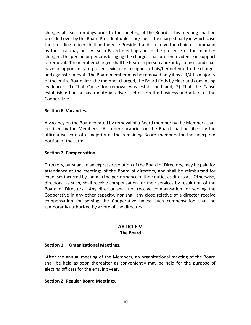charges at least ten days prior to the meeting of the Board. This meeting shall be presided over by the Board President unless he/she is the charged party in which case the presiding officer shall be the Vice President and on down the chain of command as the case may be. At such Board meeting and in the presence of the member charged, the person or persons bringing the charges shall present evidence in support of removal. The member charged shall be heard in person and/or by counsel and shall have an opportunity to present evidence in support of his/her defense to the charges and against removal. The Board member may be removed only if by a 3/4ths majority of the entire Board, less the member charged, the Board finds by clear and convincing evidence: 1) That Cause for removal was established and; 2) That the Cause established had or has a material adverse effect on the business and affairs of the Cooperative.

#### **Section 6. Vacancies.**

A vacancy on the Board created by removal of a Board member by the Members shall be filled by the Members. All other vacancies on the Board shall be filled by the affirmative vote of a majority of the remaining Board members for the unexpired portion of the term.

#### **Section 7. Compensation.**

Directors, pursuant to an express resolution of the Board of Directors, may be paid for attendance at the meetings of the Board of directors, and shall be reimbursed for expenses incurred by them in the performance of their duties as directors. Otherwise, directors, as such, shall receive compensation for their services by resolution of the Board of Directors. Any director shall not receive compensation for serving the Cooperative in any other capacity, nor shall any close relative of a director receive compensation for serving the Cooperative unless such compensation shall be temporarily authorized by a vote of the directors.

#### **ARTICLE V The Board**

#### **Section 1. Organizational Meetings.**

After the annual meeting of the Members, an organizational meeting of the Board shall be held as soon thereafter as conveniently may be held for the purpose of electing officers for the ensuing year.

#### **Section 2. Regular Board Meetings.**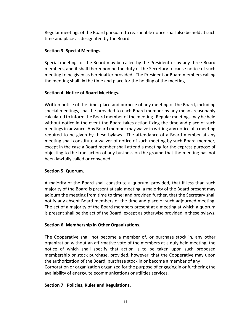Regular meetings of the Board pursuant to reasonable notice shall also be held at such time and place as designated by the Board.

# **Section 3. Special Meetings.**

Special meetings of the Board may be called by the President or by any three Board members, and it shall thereupon be the duty of the Secretary to cause notice of such meeting to be given as hereinafter provided. The President or Board members calling the meeting shall fix the time and place for the holding of the meeting.

# **Section 4. Notice of Board Meetings.**

Written notice of the time, place and purpose of any meeting of the Board, including special meetings, shall be provided to each Board member by any means reasonably calculated to inform the Board member of the meeting. Regular meetings may be held without notice in the event the Board takes action fixing the time and place of such meetings in advance. Any Board member may waive in writing any notice of a meeting required to be given by these bylaws. The attendance of a Board member at any meeting shall constitute a waiver of notice of such meeting by such Board member, except in the case a Board member shall attend a meeting for the express purpose of objecting to the transaction of any business on the ground that the meeting has not been lawfully called or convened.

# **Section 5. Quorum.**

A majority of the Board shall constitute a quorum, provided, that if less than such majority of the Board is present at said meeting, a majority of the Board present may adjourn the meeting from time to time; and provided further, that the Secretary shall notify any absent Board members of the time and place of such adjourned meeting. The act of a majority of the Board members present at a meeting at which a quorum is present shall be the act of the Board, except as otherwise provided in these bylaws.

# **Section 6. Membership in Other Organizations.**

The Cooperative shall not become a member of, or purchase stock in, any other organization without an affirmative vote of the members at a duly held meeting, the notice of which shall specify that action is to be taken upon such proposed membership or stock purchase, provided, however, that the Cooperative may upon the authorization of the Board, purchase stock in or become a member of any Corporation or organization organized for the purpose of engaging in or furthering the availability of energy, telecommunications or utilities services.

# **Section 7. Policies, Rules and Regulations.**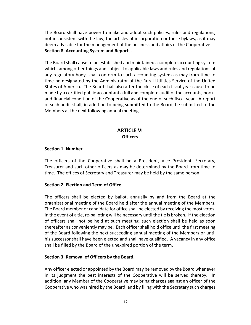The Board shall have power to make and adopt such policies, rules and regulations, not inconsistent with the law, the articles of incorporation or these bylaws, as it may deem advisable for the management of the business and affairs of the Cooperative. **Section 8. Accounting System and Reports.**

The Board shall cause to be established and maintained a complete accounting system which, among other things and subject to applicable laws and rules and regulations of any regulatory body, shall conform to such accounting system as may from time to time be designated by the Administrator of the Rural Utilities Service of the United States of America. The Board shall also after the close of each fiscal year cause to be made by a certified public accountant a full and complete audit of the accounts, books and financial condition of the Cooperative as of the end of such fiscal year. A report of such audit shall, in addition to being submitted to the Board, be submitted to the Members at the next following annual meeting.

# **ARTICLE VI Officers**

#### **Section 1. Number.**

The officers of the Cooperative shall be a President, Vice President, Secretary, Treasurer and such other officers as may be determined by the Board from time to time. The offices of Secretary and Treasurer may be held by the same person.

#### **Section 2. Election and Term of Office.**

The officers shall be elected by ballot, annually by and from the Board at the organizational meeting of the Board held after the annual meeting of the Members. The Board member or candidate for office shall be elected by receiving the most votes. In the event of a tie, re-balloting will be necessary until the tie is broken. If the election of officers shall not be held at such meeting, such election shall be held as soon thereafter as conveniently may be. Each officer shall hold office until the first meeting of the Board following the next succeeding annual meeting of the Members or until his successor shall have been elected and shall have qualified. A vacancy in any office shall be filled by the Board of the unexpired portion of the term.

#### **Section 3. Removal of Officers by the Board.**

Any officer elected or appointed by the Board may be removed by the Board whenever in its judgment the best interests of the Cooperative will be served thereby. In addition, any Member of the Cooperative may bring charges against an officer of the Cooperative who was hired by the Board, and by filing with the Secretary such charges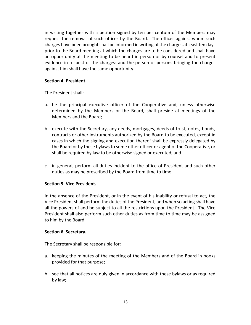in writing together with a petition signed by ten per centum of the Members may request the removal of such officer by the Board. The officer against whom such charges have been brought shall be informed in writing of the charges at least ten days prior to the Board meeting at which the charges are to be considered and shall have an opportunity at the meeting to be heard in person or by counsel and to present evidence in respect of the charges: and the person or persons bringing the charges against him shall have the same opportunity.

#### **Section 4. President.**

The President shall:

- a. be the principal executive officer of the Cooperative and, unless otherwise determined by the Members or the Board, shall preside at meetings of the Members and the Board;
- b. execute with the Secretary, any deeds, mortgages, deeds of trust, notes, bonds, contracts or other instruments authorized by the Board to be executed, except in cases in which the signing and execution thereof shall be expressly delegated by the Board or by these bylaws to some other officer or agent of the Cooperative, or shall be required by law to be otherwise signed or executed; and
- c. in general, perform all duties incident to the office of President and such other duties as may be prescribed by the Board from time to time.

#### **Section 5. Vice President.**

In the absence of the President, or in the event of his inability or refusal to act, the Vice President shall perform the duties of the President, and when so acting shall have all the powers of and be subject to all the restrictions upon the President. The Vice President shall also perform such other duties as from time to time may be assigned to him by the Board.

#### **Section 6. Secretary.**

The Secretary shall be responsible for:

- a. keeping the minutes of the meeting of the Members and of the Board in books provided for that purpose;
- b. see that all notices are duly given in accordance with these bylaws or as required by law;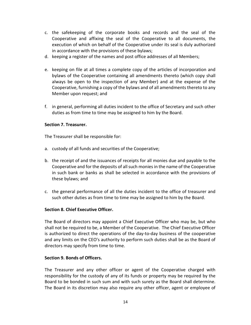- c. the safekeeping of the corporate books and records and the seal of the Cooperative and affixing the seal of the Cooperative to all documents, the execution of which on behalf of the Cooperative under its seal is duly authorized in accordance with the provisions of these bylaws;
- d. keeping a register of the names and post office addresses of all Members;
- e. keeping on file at all times a complete copy of the articles of incorporation and bylaws of the Cooperative containing all amendments thereto (which copy shall always be open to the inspection of any Member) and at the expense of the Cooperative, furnishing a copy of the bylaws and of all amendments thereto to any Member upon request; and
- f. in general, performing all duties incident to the office of Secretary and such other duties as from time to time may be assigned to him by the Board.

#### **Section 7. Treasurer.**

The Treasurer shall be responsible for:

- a. custody of all funds and securities of the Cooperative;
- b. the receipt of and the issuances of receipts for all monies due and payable to the Cooperative and for the deposits of all such monies in the name of the Cooperative in such bank or banks as shall be selected in accordance with the provisions of these bylaws; and
- c. the general performance of all the duties incident to the office of treasurer and such other duties as from time to time may be assigned to him by the Board.

#### **Section 8. Chief Executive Officer.**

The Board of directors may appoint a Chief Executive Officer who may be, but who shall not be required to be, a Member of the Cooperative. The Chief Executive Officer is authorized to direct the operations of the day-to-day business of the cooperative and any limits on the CEO's authority to perform such duties shall be as the Board of directors may specify from time to time.

#### **Section 9. Bonds of Officers.**

The Treasurer and any other officer or agent of the Cooperative charged with responsibility for the custody of any of its funds or property may be required by the Board to be bonded in such sum and with such surety as the Board shall determine. The Board in its discretion may also require any other officer, agent or employee of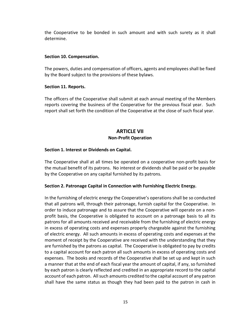the Cooperative to be bonded in such amount and with such surety as it shall determine.

#### **Section 10. Compensation.**

The powers, duties and compensation of officers, agents and employees shall be fixed by the Board subject to the provisions of these bylaws.

# **Section 11. Reports.**

The officers of the Cooperative shall submit at each annual meeting of the Members reports covering the business of the Cooperative for the previous fiscal year. Such report shall set forth the condition of the Cooperative at the close of such fiscal year.

# **ARTICLE VII Non-Profit Operation**

# **Section 1. Interest or Dividends on Capital.**

The Cooperative shall at all times be operated on a cooperative non-profit basis for the mutual benefit of its patrons. No interest or dividends shall be paid or be payable by the Cooperative on any capital furnished by its patrons.

#### **Section 2. Patronage Capital in Connection with Furnishing Electric Energy.**

In the furnishing of electric energy the Cooperative's operations shall be so conducted that all patrons will, through their patronage, furnish capital for the Cooperative. In order to induce patronage and to assure that the Cooperative will operate on a nonprofit basis, the Cooperative is obligated to account on a patronage basis to all its patrons for all amounts received and receivable from the furnishing of electric energy in excess of operating costs and expenses properly chargeable against the furnishing of electric energy. All such amounts in excess of operating costs and expenses at the moment of receipt by the Cooperative are received with the understanding that they are furnished by the patrons as capital. The Cooperative is obligated to pay by credits to a capital account for each patron all such amounts in excess of operating costs and expenses. The books and records of the Cooperative shall be set up and kept in such a manner that at the end of each fiscal year the amount of capital, if any, so furnished by each patron is clearly reflected and credited in an appropriate record to the capital account of each patron. All such amounts credited to the capital account of any patron shall have the same status as though they had been paid to the patron in cash in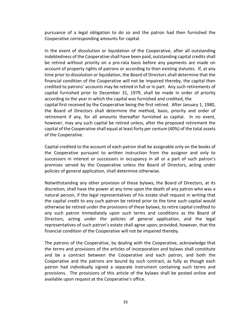pursuance of a legal obligation to do so and the patron had then furnished the Cooperative corresponding amounts for capital.

In the event of dissolution or liquidation of the Cooperative, after all outstanding indebtedness of the Cooperative shall have been paid, outstanding capital credits shall be retired without priority on a pro-rata basis before any payments are made on account of property rights of patrons or according to then existing statutes. If, at any time prior to dissolution or liquidation, the Board of Directors shall determine that the financial condition of the Cooperative will not be impaired thereby, the capital then credited to patrons' accounts may be retired in full or in part. Any such retirements of capital furnished prior to December 31, 1979, shall be made in order of priority according to the year in which the capital was furnished and credited, the

capital first received by the Cooperative being the first retired. After January 1, 1980, the Board of Directors shall determine the method, basis, priority and order of retirement if any, for all amounts thereafter furnished as capital. In no event, however, may any such capital be retired unless, after the proposed retirement the capital of the Cooperative shall equal at least forty per centum (40%) of the total assets of the Cooperative.

Capital credited to the account of each patron shall be assignable only on the books of the Cooperative pursuant to written instruction from the assignor and only to successors in interest or successors in occupancy in all or a part of such patron's premises served by the Cooperative unless the Board of Directors, acting under policies of general application, shall determine otherwise.

Notwithstanding any other provision of these bylaws, the Board of Directors, at its discretion, shall have the power at any time upon the death of any patron who was a natural person, if the legal representatives of his estate shall request in writing that the capital credit to any such patron be retired prior to the time such capital would otherwise be retired under the provisions of these bylaws, to retire capital credited to any such patron immediately upon such terms and conditions as the Board of Directors, acting under the policies of general application, and the legal representatives of such patron's estate shall agree upon; provided, however, that the financial condition of the Cooperative will not be impaired thereby.

The patrons of the Cooperative, by dealing with the Cooperative, acknowledge that the terms and provisions of the articles of incorporation and bylaws shall constitute and be a contract between the Cooperative and each patron, and both the Cooperative and the patrons are bound by such contract, as fully as though each patron had individually signed a separate instrument containing such terms and provisions. The provisions of this article of the bylaws shall be posted online and available upon request at the Cooperative's office.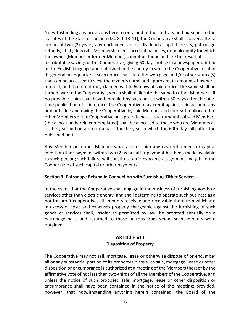Notwithstanding any provisions herein contained to the contrary and pursuant to the statutes of the State of Indiana (I.C. 8-1-13-11), the Cooperative shall recover, after a period of two (2) years, any unclaimed stocks, dividends, capital credits, patronage refunds, utility deposits, Membership fees, account balances, or book equity for which the owner (Member or former Member) cannot be found and are the result of distributable savings of the Cooperative, giving 60 days notice in a newspaper printed in the English language and published in the county in which the Cooperative located its general headquarters. Such notice shall state the web page and /or other source(s) that can be accessed to view the owner's name and approximate amount of owner's interest, and that if not duly claimed within 60 days of said notice; the same shall be turned over to the Cooperative, which shall reallocate the same to other Members. If no provable claim shall have been filed by such notice within 60 days after the onetime publication of said notice, the Cooperative may credit against said account any amounts due and owing the Cooperative by said Member and thereafter allocated to other Members of the Cooperative on a pro rata basis. Such amounts of said Members (the allocation herein contemplated) shall be allocated to those who are Members as of the year and on a pro rata basis for the year in which the 60th day falls after the published notice.

Any Member or former Member who fails to claim any cash retirement or capital credit or other payment within two (2) years after payment has been made available to such person; such failure will constitute an irrevocable assignment and gift to the Cooperative of such capital or other payments.

#### **Section 3. Patronage Refund in Connection with Furnishing Other Services.**

In the event that the Cooperative shall engage in the business of furnishing goods or services other than electric energy, and shall determine to operate such business as a not-for-profit cooperative, all amounts received and receivable therefrom which are in excess of costs and expenses properly chargeable against the furnishing of such goods or services shall, insofar as permitted by law, be prorated annually on a patronage basis and returned to those patrons from whom such amounts were obtained.

# **ARTICLE VIII Disposition of Property**

The Cooperative may not sell, mortgage, lease or otherwise dispose of or encumber all or any substantial portion of its property unless such sale, mortgage, lease or other disposition or encumbrance is authorized at a meeting of the Members thereof by the affirmative vote of not less than two-thirds of all the Members of the Cooperative, and unless the notice of such proposed sale, mortgage, lease or other disposition or encumbrance shall have been contained in the notice of the meeting; provided, however, that notwithstanding anything herein contained, the Board of the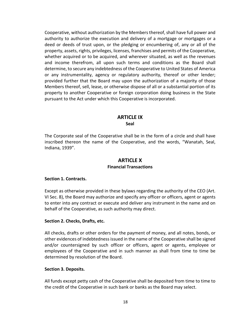Cooperative, without authorization by the Members thereof, shall have full power and authority to authorize the execution and delivery of a mortgage or mortgages or a deed or deeds of trust upon, or the pledging or encumbering of, any or all of the property, assets, rights, privileges, licenses, franchises and permits of the Cooperative, whether acquired or to be acquired, and wherever situated, as well as the revenues and income therefrom, all upon such terms and conditions as the Board shall determine, to secure any indebtedness of the Cooperative to United States of America or any instrumentality, agency or regulatory authority, thereof or other lender; provided further that the Board may upon the authorization of a majority of those Members thereof, sell, lease, or otherwise dispose of all or a substantial portion of its property to another Cooperative or foreign corporation doing business in the State pursuant to the Act under which this Cooperative is incorporated.

#### **ARTICLE IX Seal**

The Corporate seal of the Cooperative shall be in the form of a circle and shall have inscribed thereon the name of the Cooperative, and the words, "Wanatah, Seal, Indiana, 1939".

# **ARTICLE X Financial Transactions**

#### **Section 1. Contracts.**

Except as otherwise provided in these bylaws regarding the authority of the CEO (Art. VI Sec. 8), the Board may authorize and specify any officer or officers, agent or agents to enter into any contract or execute and deliver any instrument in the name and on behalf of the Cooperative, as such authority may direct.

#### **Section 2. Checks, Drafts, etc.**

All checks, drafts or other orders for the payment of money, and all notes, bonds, or other evidences of indebtedness issued in the name of the Cooperative shall be signed and/or countersigned by such officer or officers, agent or agents, employee or employees of the Cooperative and in such manner as shall from time to time be determined by resolution of the Board.

#### **Section 3. Deposits.**

All funds except petty cash of the Cooperative shall be deposited from time to time to the credit of the Cooperative in such bank or banks as the Board may select.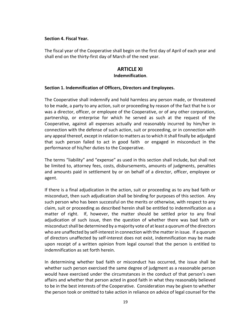#### **Section 4. Fiscal Year.**

The fiscal year of the Cooperative shall begin on the first day of April of each year and shall end on the thirty-first day of March of the next year.

# **ARTICLE XI**

#### **Indemnification**.

#### **Section 1. Indemnification of Officers, Directors and Employees.**

The Cooperative shall indemnify and hold harmless any person made, or threatened to be made, a party to any action, suit or proceeding by reason of the fact that he is or was a director, officer, or employee of the Cooperative, or of any other corporation, partnership, or enterprise for which he served as such at the request of the Cooperative, against all expenses actually and reasonably incurred by him/her in connection with the defense of such action, suit or proceeding, or in connection with any appeal thereof, except in relation to matters as to which it shall finally be adjudged that such person failed to act in good faith or engaged in misconduct in the performance of his/her duties to the Cooperative.

The terms "liability" and "expense" as used in this section shall include, but shall not be limited to, attorney fees, costs, disbursements, amounts of judgments, penalties and amounts paid in settlement by or on behalf of a director, officer, employee or agent.

If there is a final adjudication in the action, suit or proceeding as to any bad faith or misconduct, then such adjudication shall be binding for purposes of this section. Any such person who has been successful on the merits or otherwise, with respect to any claim, suit or proceeding as described herein shall be entitled to indemnification as a matter of right. If, however, the matter should be settled prior to any final adjudication of such issue, then the question of whether there was bad faith or misconduct shall be determined by a majority vote of at least a quorum of the directors who are unaffected by self-interest in connection with the matter in issue. If a quorum of directors unaffected by self-interest does not exist, indemnification may be made upon receipt of a written opinion from legal counsel that the person is entitled to indemnification as set forth herein.

In determining whether bad faith or misconduct has occurred, the issue shall be whether such person exercised the same degree of judgment as a reasonable person would have exercised under the circumstances in the conduct of that person's own affairs and whether that person acted in good faith in what they reasonably believed to be in the best interests of the Cooperative. Consideration may be given to whether the person took or omitted to take action in reliance on advice of legal counsel for the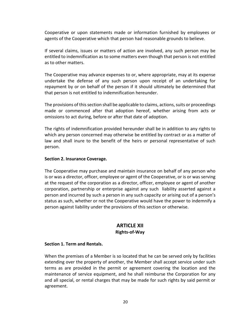Cooperative or upon statements made or information furnished by employees or agents of the Cooperative which that person had reasonable grounds to believe.

If several claims, issues or matters of action are involved, any such person may be entitled to indemnification as to some matters even though that person is not entitled as to other matters.

The Cooperative may advance expenses to or, where appropriate, may at its expense undertake the defense of any such person upon receipt of an undertaking for repayment by or on behalf of the person if it should ultimately be determined that that person is not entitled to indemnification hereunder.

The provisions of this section shall be applicable to claims, actions, suits or proceedings made or commenced after that adoption hereof, whether arising from acts or omissions to act during, before or after that date of adoption.

The rights of indemnification provided hereunder shall be in addition to any rights to which any person concerned may otherwise be entitled by contract or as a matter of law and shall inure to the benefit of the heirs or personal representative of such person.

#### **Section 2. Insurance Coverage.**

The Cooperative may purchase and maintain insurance on behalf of any person who is or was a director, officer, employee or agent of the Cooperative, or is or was serving at the request of the corporation as a director, officer, employee or agent of another corporation, partnership or enterprise against any such liability asserted against a person and incurred by such a person in any such capacity or arising out of a person's status as such, whether or not the Cooperative would have the power to indemnify a person against liability under the provisions of this section or otherwise.

# **ARTICLE XII Rights-of-Way**

#### **Section 1. Term and Rentals.**

When the premises of a Member is so located that he can be served only by facilities extending over the property of another, the Member shall accept service under such terms as are provided in the permit or agreement covering the location and the maintenance of service equipment, and he shall reimburse the Corporation for any and all special, or rental charges that may be made for such rights by said permit or agreement.